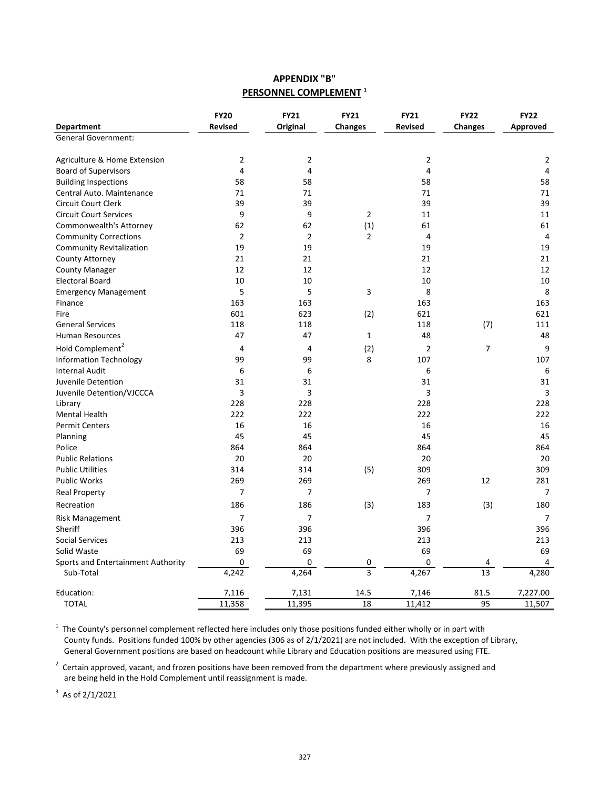## **APPENDIX "B" PERSONNEL COMPLEMENT <sup>1</sup>**

|                                    | <b>FY20</b>    | <b>FY21</b>    | <b>FY21</b>    | <b>FY21</b>    | <b>FY22</b>    | <b>FY22</b>    |
|------------------------------------|----------------|----------------|----------------|----------------|----------------|----------------|
| Department                         | <b>Revised</b> | Original       | <b>Changes</b> | <b>Revised</b> | <b>Changes</b> | Approved       |
| <b>General Government:</b>         |                |                |                |                |                |                |
| Agriculture & Home Extension       | $\overline{2}$ | $\overline{2}$ |                | $\overline{2}$ |                | $\overline{2}$ |
| <b>Board of Supervisors</b>        | 4              | 4              |                | 4              |                | 4              |
| <b>Building Inspections</b>        | 58             | 58             |                | 58             |                | 58             |
| Central Auto. Maintenance          | 71             | 71             |                | 71             |                | 71             |
| <b>Circuit Court Clerk</b>         | 39             | 39             |                | 39             |                | 39             |
| <b>Circuit Court Services</b>      | 9              | 9              | $\overline{2}$ | 11             |                | 11             |
| Commonwealth's Attorney            | 62             | 62             | (1)            | 61             |                | 61             |
| <b>Community Corrections</b>       | $\overline{2}$ | $\overline{2}$ | $\overline{2}$ | 4              |                | 4              |
| <b>Community Revitalization</b>    | 19             | 19             |                | 19             |                | 19             |
| County Attorney                    | 21             | 21             |                | 21             |                | 21             |
| <b>County Manager</b>              | 12             | 12             |                | 12             |                | 12             |
| <b>Electoral Board</b>             | 10             | 10             |                | 10             |                | 10             |
| <b>Emergency Management</b>        | 5              | 5              | 3              | 8              |                | 8              |
| Finance                            | 163            | 163            |                | 163            |                | 163            |
| Fire                               | 601            | 623            | (2)            | 621            |                | 621            |
| <b>General Services</b>            | 118            | 118            |                | 118            | (7)            | 111            |
| Human Resources                    | 47             | 47             | $\mathbf{1}$   | 48             |                | 48             |
| Hold Complement <sup>2</sup>       | 4              | 4              | (2)            | $\overline{2}$ | $\overline{7}$ | 9              |
| <b>Information Technology</b>      | 99             | 99             | 8              | 107            |                | 107            |
| <b>Internal Audit</b>              | 6              | 6              |                | 6              |                | 6              |
| Juvenile Detention                 | 31             | 31             |                | 31             |                | 31             |
| Juvenile Detention/VJCCCA          | 3              | 3              |                | 3              |                | 3              |
| Library                            | 228            | 228            |                | 228            |                | 228            |
| <b>Mental Health</b>               | 222            | 222            |                | 222            |                | 222            |
| <b>Permit Centers</b>              | 16             | 16             |                | 16             |                | 16             |
| Planning                           | 45             | 45             |                | 45             |                | 45             |
| Police                             | 864            | 864            |                | 864            |                | 864            |
| <b>Public Relations</b>            | 20             | 20             |                | 20             |                | 20             |
| <b>Public Utilities</b>            | 314            | 314            | (5)            | 309            |                | 309            |
| <b>Public Works</b>                | 269            | 269            |                | 269            | 12             | 281            |
| <b>Real Property</b>               | $\overline{7}$ | $\overline{7}$ |                | $\overline{7}$ |                | $\overline{7}$ |
| Recreation                         | 186            | 186            | (3)            | 183            | (3)            | 180            |
| Risk Management                    | $\overline{7}$ | $\overline{7}$ |                | $\overline{7}$ |                | 7              |
| Sheriff                            | 396            | 396            |                | 396            |                | 396            |
| <b>Social Services</b>             | 213            | 213            |                | 213            |                | 213            |
| Solid Waste                        | 69             | 69             |                | 69             |                | 69             |
| Sports and Entertainment Authority | 0              | 0              | 0              | 0              | 4              | 4              |
| Sub-Total                          | 4,242          | 4,264          | 3              | 4,267          | 13             | 4,280          |
| Education:                         | 7,116          | 7,131          | 14.5           | 7,146          | 81.5           | 7,227.00       |
| <b>TOTAL</b>                       | 11,358         | 11,395         | 18             | 11,412         | 95             | 11,507         |

 $1$  The County's personnel complement reflected here includes only those positions funded either wholly or in part with County funds. Positions funded 100% by other agencies (306 as of 2/1/2021) are not included. With the exception of Library, General Government positions are based on headcount while Library and Education positions are measured using FTE.

 $2$  Certain approved, vacant, and frozen positions have been removed from the department where previously assigned and are being held in the Hold Complement until reassignment is made.

 $3$  As of 2/1/2021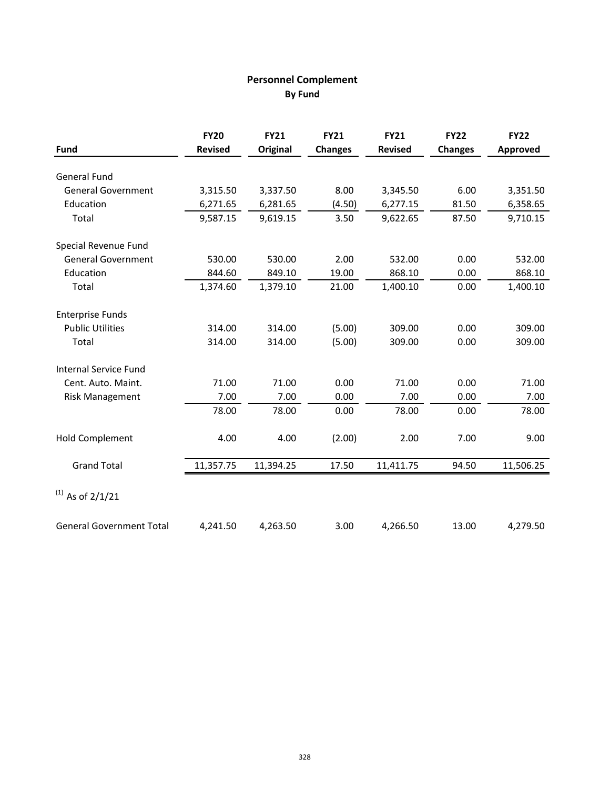## **Personnel Complement By Fund**

|                                 | <b>FY20</b>    | <b>FY21</b> | <b>FY21</b>    | <b>FY21</b>    | <b>FY22</b>    | <b>FY22</b> |
|---------------------------------|----------------|-------------|----------------|----------------|----------------|-------------|
| <b>Fund</b>                     | <b>Revised</b> | Original    | <b>Changes</b> | <b>Revised</b> | <b>Changes</b> | Approved    |
| <b>General Fund</b>             |                |             |                |                |                |             |
| <b>General Government</b>       | 3,315.50       | 3,337.50    | 8.00           | 3,345.50       | 6.00           | 3,351.50    |
| Education                       | 6,271.65       | 6,281.65    | (4.50)         | 6,277.15       | 81.50          | 6,358.65    |
| Total                           | 9,587.15       | 9,619.15    | 3.50           | 9,622.65       | 87.50          | 9,710.15    |
| Special Revenue Fund            |                |             |                |                |                |             |
| <b>General Government</b>       | 530.00         | 530.00      | 2.00           | 532.00         | 0.00           | 532.00      |
| Education                       | 844.60         | 849.10      | 19.00          | 868.10         | 0.00           | 868.10      |
| Total                           | 1,374.60       | 1,379.10    | 21.00          | 1,400.10       | 0.00           | 1,400.10    |
| <b>Enterprise Funds</b>         |                |             |                |                |                |             |
| <b>Public Utilities</b>         | 314.00         | 314.00      | (5.00)         | 309.00         | 0.00           | 309.00      |
| Total                           | 314.00         | 314.00      | (5.00)         | 309.00         | 0.00           | 309.00      |
| <b>Internal Service Fund</b>    |                |             |                |                |                |             |
| Cent. Auto. Maint.              | 71.00          | 71.00       | 0.00           | 71.00          | 0.00           | 71.00       |
| <b>Risk Management</b>          | 7.00           | 7.00        | 0.00           | 7.00           | 0.00           | 7.00        |
|                                 | 78.00          | 78.00       | 0.00           | 78.00          | 0.00           | 78.00       |
| <b>Hold Complement</b>          | 4.00           | 4.00        | (2.00)         | 2.00           | 7.00           | 9.00        |
| <b>Grand Total</b>              | 11,357.75      | 11,394.25   | 17.50          | 11,411.75      | 94.50          | 11,506.25   |
| $^{(1)}$ As of 2/1/21           |                |             |                |                |                |             |
| <b>General Government Total</b> | 4,241.50       | 4,263.50    | 3.00           | 4,266.50       | 13.00          | 4,279.50    |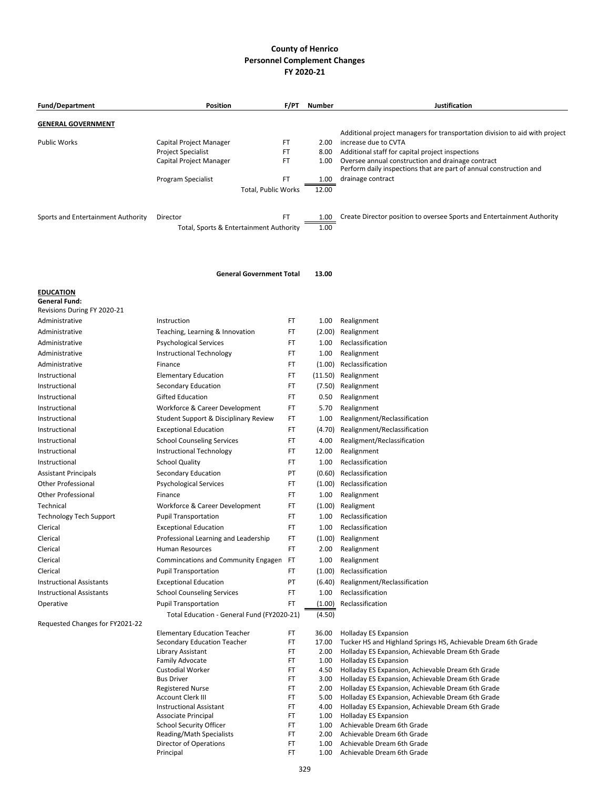## **County of Henrico Personnel Complement Changes FY 2020-21**

| <b>Fund/Department</b>                                 | Position                                              | F/PT     | Number         | Justification                                                                                                                                           |
|--------------------------------------------------------|-------------------------------------------------------|----------|----------------|---------------------------------------------------------------------------------------------------------------------------------------------------------|
| <b>GENERAL GOVERNMENT</b>                              |                                                       |          |                |                                                                                                                                                         |
| <b>Public Works</b>                                    | Capital Project Manager<br>Project Specialist         | FT<br>FT | 2.00<br>8.00   | Additional project managers for transportation division to aid with project<br>increase due to CVTA<br>Additional staff for capital project inspections |
|                                                        | Capital Project Manager                               | FT       | 1.00           | Oversee annual construction and drainage contract<br>Perform daily inspections that are part of annual construction and                                 |
|                                                        | Program Specialist<br>Total, Public Works             | FT       | 1.00<br>12.00  | drainage contract                                                                                                                                       |
| Sports and Entertainment Authority                     | Director<br>Total, Sports & Entertainment Authority   | FT       | 1.00<br>1.00   | Create Director position to oversee Sports and Entertainment Authority                                                                                  |
|                                                        | <b>General Government Total</b>                       |          | 13.00          |                                                                                                                                                         |
| <b>EDUCATION</b>                                       |                                                       |          |                |                                                                                                                                                         |
| <b>General Fund:</b><br>Revisions During FY 2020-21    |                                                       |          |                |                                                                                                                                                         |
| Administrative                                         | Instruction                                           | FT       | 1.00           | Realignment                                                                                                                                             |
| Administrative                                         | Teaching, Learning & Innovation                       | FT       | (2.00)         | Realignment                                                                                                                                             |
| Administrative                                         | <b>Psychological Services</b>                         | FT       | 1.00           | Reclassification                                                                                                                                        |
| Administrative                                         | Instructional Technology                              | FT       | 1.00           | Realignment                                                                                                                                             |
| Administrative                                         | Finance                                               | FT       | (1.00)         | Reclassification                                                                                                                                        |
| Instructional                                          | <b>Elementary Education</b>                           | FT       | (11.50)        | Realignment                                                                                                                                             |
| Instructional                                          | Secondary Education                                   | FT       | (7.50)         | Realignment                                                                                                                                             |
| Instructional                                          | <b>Gifted Education</b>                               | FT       | 0.50           | Realignment                                                                                                                                             |
| Instructional                                          | Workforce & Career Development                        | FT       | 5.70           | Realignment                                                                                                                                             |
| Instructional                                          | Student Support & Disciplinary Review                 | FT       | 1.00           | Realignment/Reclassification                                                                                                                            |
| Instructional                                          | <b>Exceptional Education</b>                          | FT       | (4.70)         | Realignment/Reclassification                                                                                                                            |
| Instructional                                          | <b>School Counseling Services</b>                     | FT       | 4.00           | Realigment/Reclassification                                                                                                                             |
| Instructional                                          | Instructional Technology                              | FT       | 12.00          | Realignment                                                                                                                                             |
| Instructional                                          | <b>School Quality</b>                                 | FT       | 1.00           | Reclassification                                                                                                                                        |
| <b>Assistant Principals</b>                            | Secondary Education                                   | PT       | (0.60)         | Reclassification<br>Reclassification                                                                                                                    |
| <b>Other Professional</b><br><b>Other Professional</b> | <b>Psychological Services</b><br>Finance              | FT<br>FT | (1.00)<br>1.00 | Realignment                                                                                                                                             |
| Technical                                              | Workforce & Career Development                        | FT       | (1.00)         | Realigment                                                                                                                                              |
| <b>Technology Tech Support</b>                         | <b>Pupil Transportation</b>                           | FT       | 1.00           | Reclassification                                                                                                                                        |
| Clerical                                               | <b>Exceptional Education</b>                          | FT       | 1.00           | Reclassification                                                                                                                                        |
| Clerical                                               | Professional Learning and Leadership                  | FT       |                | (1.00) Realignment                                                                                                                                      |
| Clerical                                               | Human Resources                                       | FT       | 2.00           | Realignment                                                                                                                                             |
| Clerical                                               | Commincations and Community Engager                   | FT       | 1.00           | Realignment                                                                                                                                             |
| Clerical                                               | <b>Pupil Transportation</b>                           | FT       | (1.00)         | Reclassification                                                                                                                                        |
| <b>Instructional Assistants</b>                        | <b>Exceptional Education</b>                          | PT       | (6.40)         | Realignment/Reclassification                                                                                                                            |
| <b>Instructional Assistants</b>                        | <b>School Counseling Services</b>                     | FT       | 1.00           | Reclassification                                                                                                                                        |
| Operative                                              | <b>Pupil Transportation</b>                           | FT       | (1.00)         | Reclassification                                                                                                                                        |
| Requested Changes for FY2021-22                        | Total Education - General Fund (FY2020-21)            |          | (4.50)         |                                                                                                                                                         |
|                                                        | <b>Elementary Education Teacher</b>                   | FT.      | 36.00          | <b>Holladay ES Expansion</b>                                                                                                                            |
|                                                        | Secondary Education Teacher                           | FT       | 17.00          | Tucker HS and Highland Springs HS, Achievable Dream 6th Grade                                                                                           |
|                                                        | Library Assistant                                     | FT       | 2.00           | Holladay ES Expansion, Achievable Dream 6th Grade                                                                                                       |
|                                                        | <b>Family Advocate</b>                                | FT       | 1.00           | <b>Holladay ES Expansion</b><br>Holladay ES Expansion, Achievable Dream 6th Grade                                                                       |
|                                                        | <b>Custodial Worker</b><br><b>Bus Driver</b>          | FT<br>FT | 4.50<br>3.00   | Holladay ES Expansion, Achievable Dream 6th Grade                                                                                                       |
|                                                        | <b>Registered Nurse</b>                               | FT       | 2.00           | Holladay ES Expansion, Achievable Dream 6th Grade                                                                                                       |
|                                                        | Account Clerk III                                     | FT       | 5.00           | Holladay ES Expansion, Achievable Dream 6th Grade                                                                                                       |
|                                                        | <b>Instructional Assistant</b>                        | FT       | 4.00           | Holladay ES Expansion, Achievable Dream 6th Grade                                                                                                       |
|                                                        | Associate Principal<br><b>School Security Officer</b> | FT<br>FT | 1.00<br>1.00   | <b>Holladay ES Expansion</b><br>Achievable Dream 6th Grade                                                                                              |
|                                                        | Reading/Math Specialists                              | FT       | 2.00           | Achievable Dream 6th Grade                                                                                                                              |
|                                                        | Director of Operations                                | FT       | 1.00           | Achievable Dream 6th Grade                                                                                                                              |
|                                                        | Principal                                             | FT       | 1.00           | Achievable Dream 6th Grade                                                                                                                              |